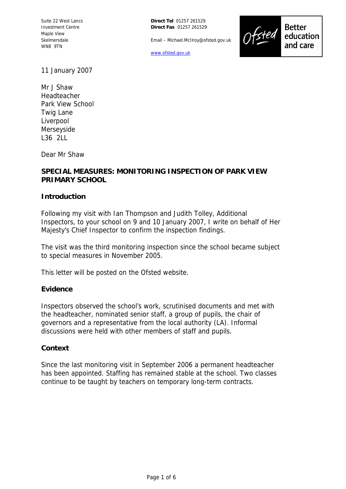Suite 22 West Lancs Investment Centre Maple View Skelmersdale WN8 9TN

**Direct Tel** 01257 261529 **Direct Fax** 01257 261529

Email – Michael.McIlroy@ofsted.gov.uk

www.ofsted.gov.uk



**Better** education and care

11 January 2007

Mr J Shaw Headteacher Park View School Twig Lane Liverpool Merseyside L36 2LL

Dear Mr Shaw

# **SPECIAL MEASURES: MONITORING INSPECTION OF PARK VIEW PRIMARY SCHOOL**

#### **Introduction**

Following my visit with Ian Thompson and Judith Tolley, Additional Inspectors, to your school on 9 and 10 January 2007, I write on behalf of Her Majesty's Chief Inspector to confirm the inspection findings.

The visit was the third monitoring inspection since the school became subject to special measures in November 2005.

This letter will be posted on the Ofsted website.

#### **Evidence**

Inspectors observed the school's work, scrutinised documents and met with the headteacher, nominated senior staff, a group of pupils, the chair of governors and a representative from the local authority (LA). Informal discussions were held with other members of staff and pupils.

#### **Context**

Since the last monitoring visit in September 2006 a permanent headteacher has been appointed. Staffing has remained stable at the school. Two classes continue to be taught by teachers on temporary long-term contracts.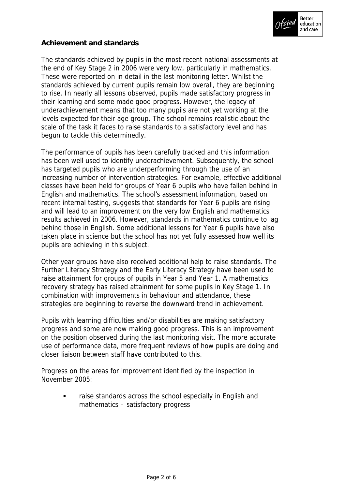

# **Achievement and standards**

The standards achieved by pupils in the most recent national assessments at the end of Key Stage 2 in 2006 were very low, particularly in mathematics. These were reported on in detail in the last monitoring letter. Whilst the standards achieved by current pupils remain low overall, they are beginning to rise. In nearly all lessons observed, pupils made satisfactory progress in their learning and some made good progress. However, the legacy of underachievement means that too many pupils are not yet working at the levels expected for their age group. The school remains realistic about the scale of the task it faces to raise standards to a satisfactory level and has begun to tackle this determinedly.

The performance of pupils has been carefully tracked and this information has been well used to identify underachievement. Subsequently, the school has targeted pupils who are underperforming through the use of an increasing number of intervention strategies. For example, effective additional classes have been held for groups of Year 6 pupils who have fallen behind in English and mathematics. The school's assessment information, based on recent internal testing, suggests that standards for Year 6 pupils are rising and will lead to an improvement on the very low English and mathematics results achieved in 2006. However, standards in mathematics continue to lag behind those in English. Some additional lessons for Year 6 pupils have also taken place in science but the school has not yet fully assessed how well its pupils are achieving in this subject.

Other year groups have also received additional help to raise standards. The Further Literacy Strategy and the Early Literacy Strategy have been used to raise attainment for groups of pupils in Year 5 and Year 1. A mathematics recovery strategy has raised attainment for some pupils in Key Stage 1. In combination with improvements in behaviour and attendance, these strategies are beginning to reverse the downward trend in achievement.

Pupils with learning difficulties and/or disabilities are making satisfactory progress and some are now making good progress. This is an improvement on the position observed during the last monitoring visit. The more accurate use of performance data, more frequent reviews of how pupils are doing and closer liaison between staff have contributed to this.

Progress on the areas for improvement identified by the inspection in November 2005:

> raise standards across the school especially in English and mathematics – satisfactory progress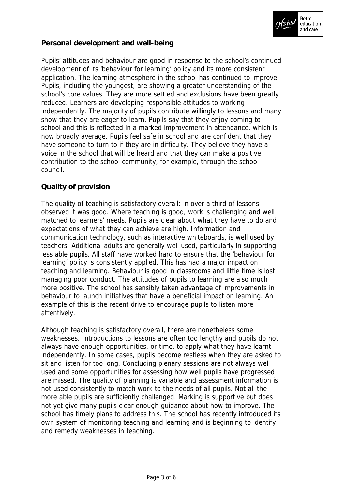

# **Personal development and well-being**

Pupils' attitudes and behaviour are good in response to the school's continued development of its 'behaviour for learning' policy and its more consistent application. The learning atmosphere in the school has continued to improve. Pupils, including the youngest, are showing a greater understanding of the school's core values. They are more settled and exclusions have been greatly reduced. Learners are developing responsible attitudes to working independently. The majority of pupils contribute willingly to lessons and many show that they are eager to learn. Pupils say that they enjoy coming to school and this is reflected in a marked improvement in attendance, which is now broadly average. Pupils feel safe in school and are confident that they have someone to turn to if they are in difficulty. They believe they have a voice in the school that will be heard and that they can make a positive contribution to the school community, for example, through the school council.

# **Quality of provision**

The quality of teaching is satisfactory overall: in over a third of lessons observed it was good. Where teaching is good, work is challenging and well matched to learners' needs. Pupils are clear about what they have to do and expectations of what they can achieve are high. Information and communication technology, such as interactive whiteboards, is well used by teachers. Additional adults are generally well used, particularly in supporting less able pupils. All staff have worked hard to ensure that the 'behaviour for learning' policy is consistently applied. This has had a major impact on teaching and learning. Behaviour is good in classrooms and little time is lost managing poor conduct. The attitudes of pupils to learning are also much more positive. The school has sensibly taken advantage of improvements in behaviour to launch initiatives that have a beneficial impact on learning. An example of this is the recent drive to encourage pupils to listen more attentively.

Although teaching is satisfactory overall, there are nonetheless some weaknesses. Introductions to lessons are often too lengthy and pupils do not always have enough opportunities, or time, to apply what they have learnt independently. In some cases, pupils become restless when they are asked to sit and listen for too long. Concluding plenary sessions are not always well used and some opportunities for assessing how well pupils have progressed are missed. The quality of planning is variable and assessment information is not used consistently to match work to the needs of all pupils. Not all the more able pupils are sufficiently challenged. Marking is supportive but does not yet give many pupils clear enough guidance about how to improve. The school has timely plans to address this. The school has recently introduced its own system of monitoring teaching and learning and is beginning to identify and remedy weaknesses in teaching.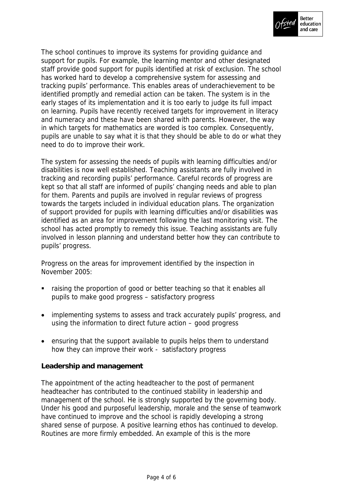

The school continues to improve its systems for providing guidance and support for pupils. For example, the learning mentor and other designated staff provide good support for pupils identified at risk of exclusion. The school has worked hard to develop a comprehensive system for assessing and tracking pupils' performance. This enables areas of underachievement to be identified promptly and remedial action can be taken. The system is in the early stages of its implementation and it is too early to judge its full impact on learning. Pupils have recently received targets for improvement in literacy and numeracy and these have been shared with parents. However, the way in which targets for mathematics are worded is too complex. Consequently, pupils are unable to say what it is that they should be able to do or what they need to do to improve their work.

The system for assessing the needs of pupils with learning difficulties and/or disabilities is now well established. Teaching assistants are fully involved in tracking and recording pupils' performance. Careful records of progress are kept so that all staff are informed of pupils' changing needs and able to plan for them. Parents and pupils are involved in regular reviews of progress towards the targets included in individual education plans. The organization of support provided for pupils with learning difficulties and/or disabilities was identified as an area for improvement following the last monitoring visit. The school has acted promptly to remedy this issue. Teaching assistants are fully involved in lesson planning and understand better how they can contribute to pupils' progress.

Progress on the areas for improvement identified by the inspection in November 2005:

- raising the proportion of good or better teaching so that it enables all pupils to make good progress – satisfactory progress
- implementing systems to assess and track accurately pupils' progress, and using the information to direct future action – good progress
- ensuring that the support available to pupils helps them to understand how they can improve their work - satisfactory progress

**Leadership and management**

The appointment of the acting headteacher to the post of permanent headteacher has contributed to the continued stability in leadership and management of the school. He is strongly supported by the governing body. Under his good and purposeful leadership, morale and the sense of teamwork have continued to improve and the school is rapidly developing a strong shared sense of purpose. A positive learning ethos has continued to develop. Routines are more firmly embedded. An example of this is the more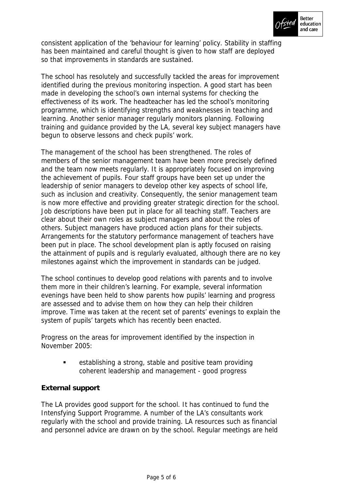

consistent application of the 'behaviour for learning' policy. Stability in staffing has been maintained and careful thought is given to how staff are deployed so that improvements in standards are sustained.

The school has resolutely and successfully tackled the areas for improvement identified during the previous monitoring inspection. A good start has been made in developing the school's own internal systems for checking the effectiveness of its work. The headteacher has led the school's monitoring programme, which is identifying strengths and weaknesses in teaching and learning. Another senior manager regularly monitors planning. Following training and guidance provided by the LA, several key subject managers have begun to observe lessons and check pupils' work.

The management of the school has been strengthened. The roles of members of the senior management team have been more precisely defined and the team now meets regularly. It is appropriately focused on improving the achievement of pupils. Four staff groups have been set up under the leadership of senior managers to develop other key aspects of school life, such as inclusion and creativity. Consequently, the senior management team is now more effective and providing greater strategic direction for the school. Job descriptions have been put in place for all teaching staff. Teachers are clear about their own roles as subject managers and about the roles of others. Subject managers have produced action plans for their subjects. Arrangements for the statutory performance management of teachers have been put in place. The school development plan is aptly focused on raising the attainment of pupils and is regularly evaluated, although there are no key milestones against which the improvement in standards can be judged.

The school continues to develop good relations with parents and to involve them more in their children's learning. For example, several information evenings have been held to show parents how pupils' learning and progress are assessed and to advise them on how they can help their children improve. Time was taken at the recent set of parents' evenings to explain the system of pupils' targets which has recently been enacted.

Progress on the areas for improvement identified by the inspection in November 2005:

> establishing a strong, stable and positive team providing coherent leadership and management - good progress

#### **External support**

The LA provides good support for the school. It has continued to fund the Intensfying Support Programme. A number of the LA's consultants work regularly with the school and provide training. LA resources such as financial and personnel advice are drawn on by the school. Regular meetings are held